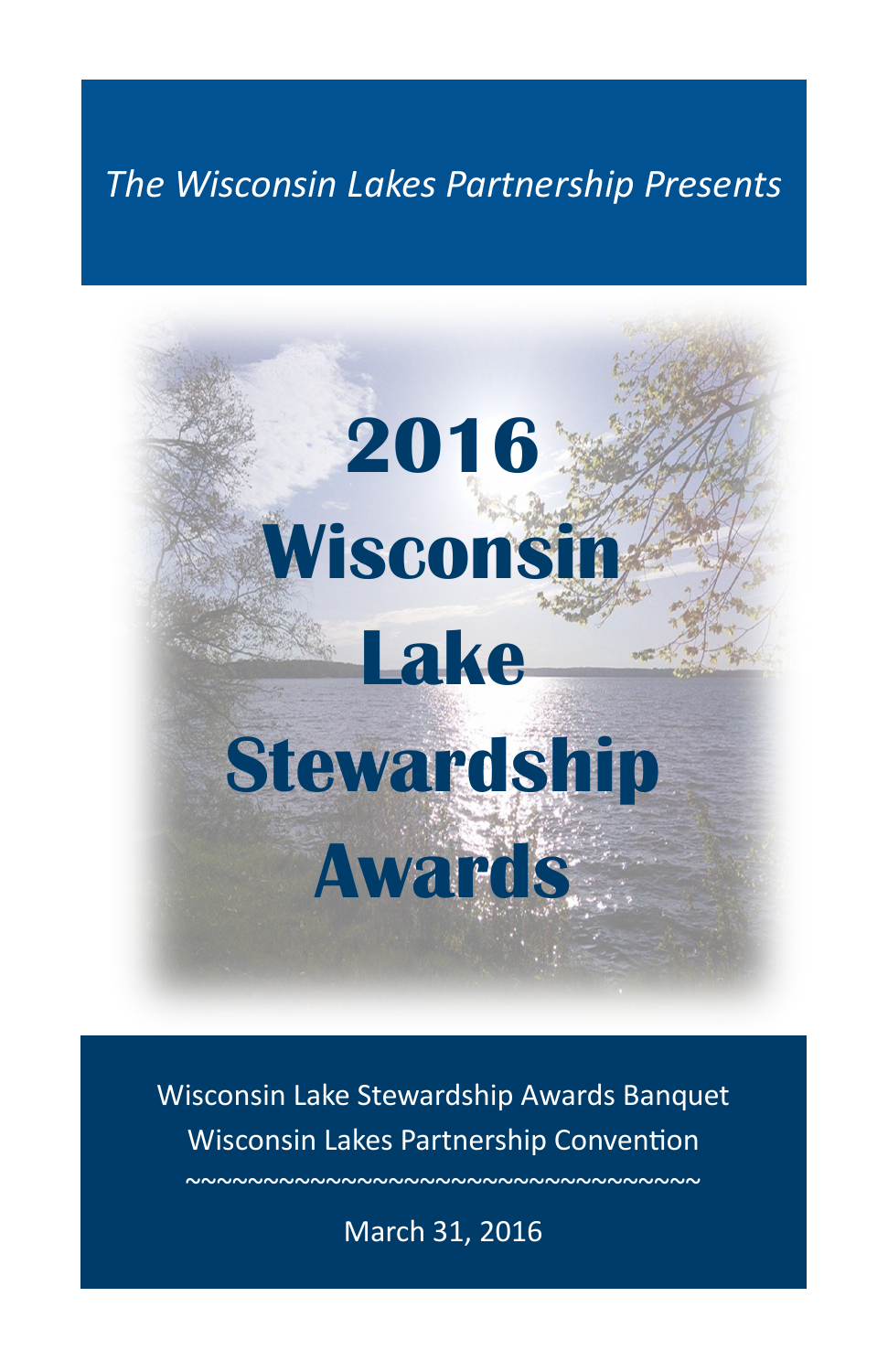## *The Wisconsin Lakes Partnership Presents*

# **2016 Wiscons Lake Stewardship Awards**

Wisconsin Lake Stewardship Awards Banquet Wisconsin Lakes Partnership Convention

~~~~~~~~~~~~~~~~~~~~~~~~~~~~~~~~~

March 31, 2016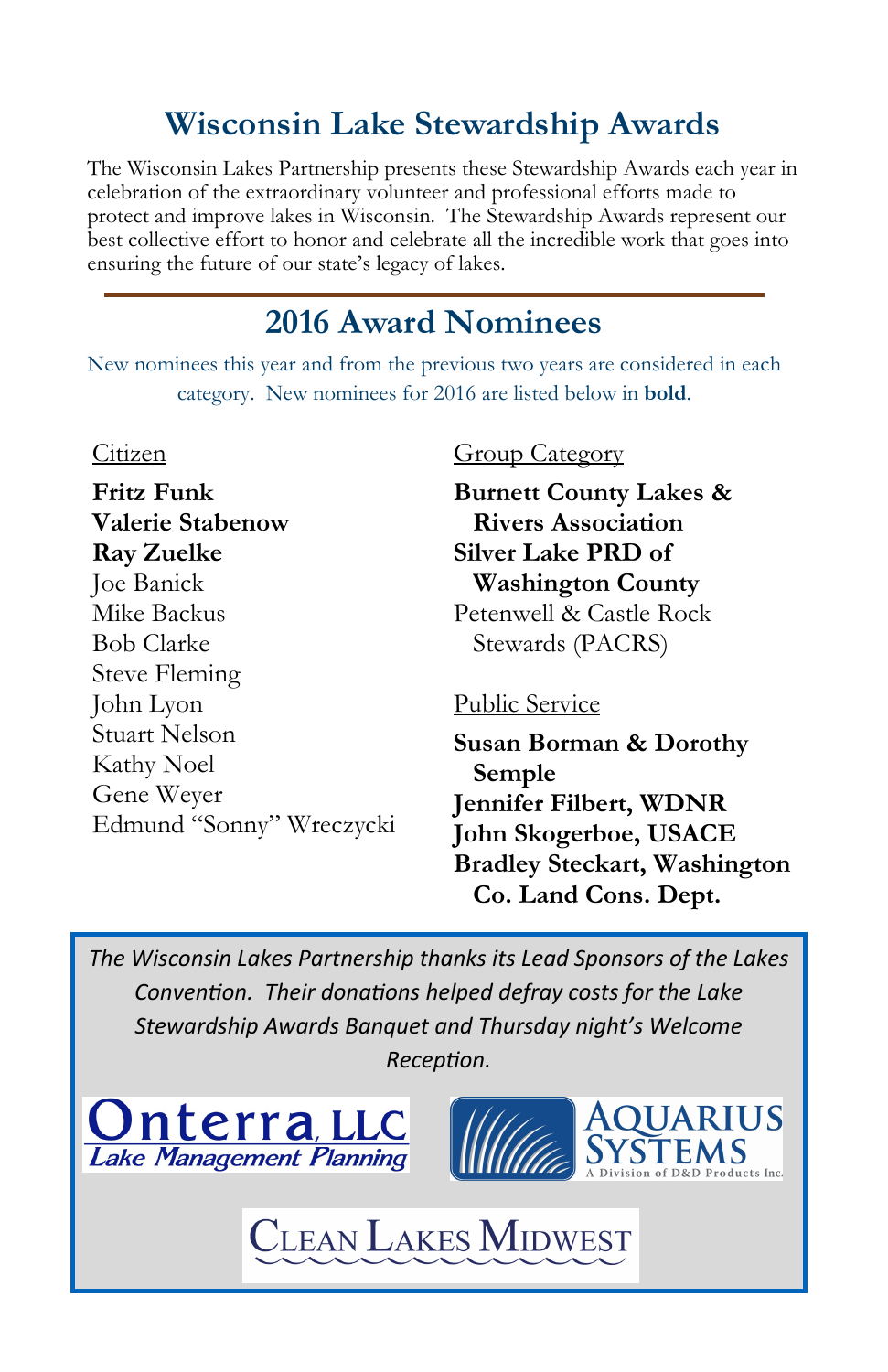## **Wisconsin Lake Stewardship Awards**

The Wisconsin Lakes Partnership presents these Stewardship Awards each year in celebration of the extraordinary volunteer and professional efforts made to protect and improve lakes in Wisconsin. The Stewardship Awards represent our best collective effort to honor and celebrate all the incredible work that goes into ensuring the future of our state's legacy of lakes.

## **2016 Award Nominees**

New nominees this year and from the previous two years are considered in each category. New nominees for 2016 are listed below in **bold**.

#### Citizen

**Fritz Funk Valerie Stabenow Ray Zuelke**  Joe Banick Mike Backus Bob Clarke Steve Fleming John Lyon Stuart Nelson Kathy Noel Gene Weyer Edmund "Sonny" Wreczycki

## Group Category

**Burnett County Lakes & Rivers Association Silver Lake PRD of Washington County**  Petenwell & Castle Rock Stewards (PACRS)

#### Public Service

**Susan Borman & Dorothy Semple Jennifer Filbert, WDNR John Skogerboe, USACE Bradley Steckart, Washington Co. Land Cons. Dept.**

*The Wisconsin Lakes Partnership thanks its Lead Sponsors of the Lakes Convention. Their donations helped defray costs for the Lake Stewardship Awards Banquet and Thursday night's Welcome*   $Reception.$ 

<u>Onterra</u> LLC Lake Management Planning



**CLEAN LAKES MIDWEST**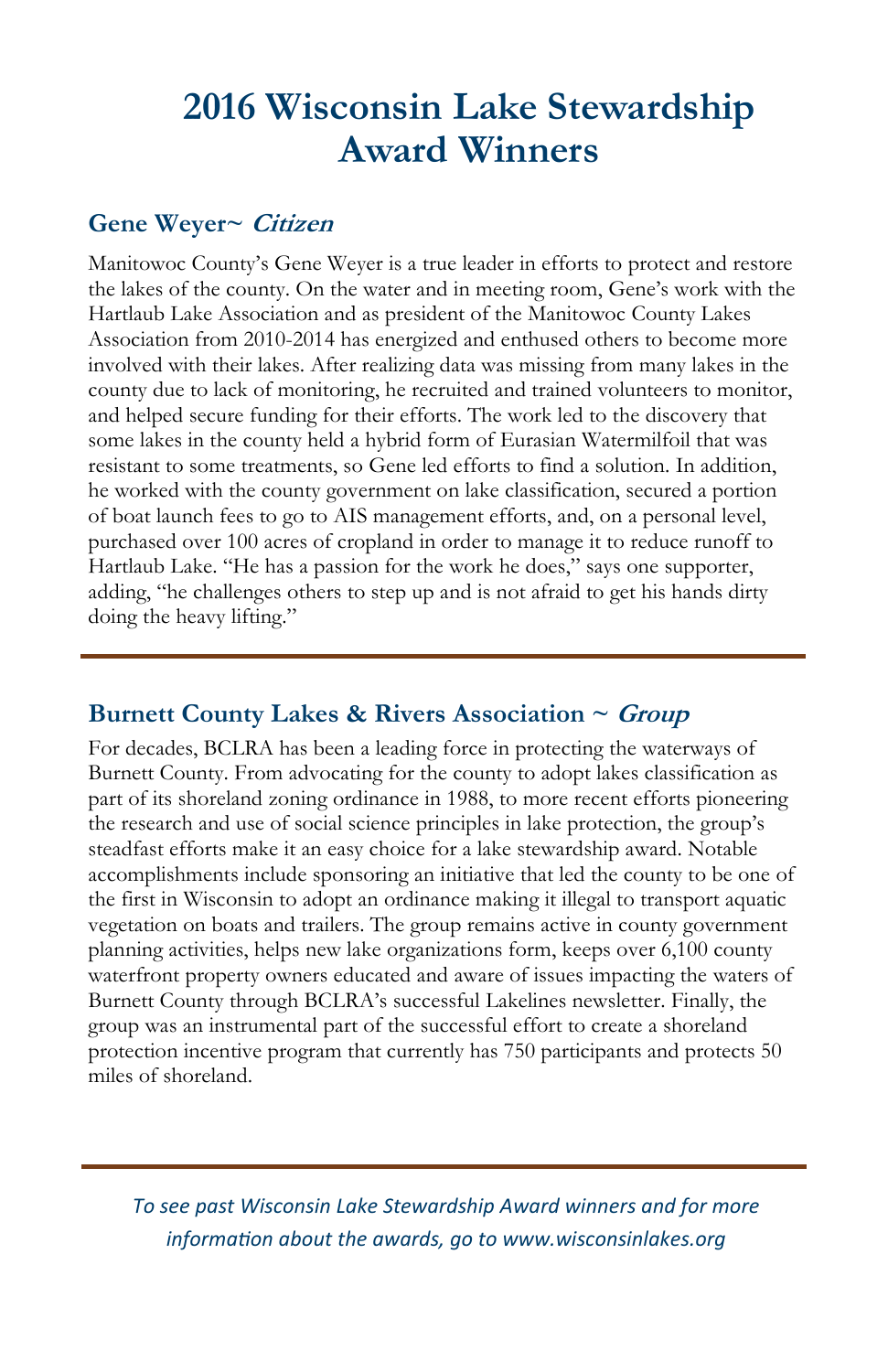## **2016 Wisconsin Lake Stewardship Award Winners**

## **Gene Weyer~ Citizen**

Manitowoc County's Gene Weyer is a true leader in efforts to protect and restore the lakes of the county. On the water and in meeting room, Gene's work with the Hartlaub Lake Association and as president of the Manitowoc County Lakes Association from 2010-2014 has energized and enthused others to become more involved with their lakes. After realizing data was missing from many lakes in the county due to lack of monitoring, he recruited and trained volunteers to monitor, and helped secure funding for their efforts. The work led to the discovery that some lakes in the county held a hybrid form of Eurasian Watermilfoil that was resistant to some treatments, so Gene led efforts to find a solution. In addition, he worked with the county government on lake classification, secured a portion of boat launch fees to go to AIS management efforts, and, on a personal level, purchased over 100 acres of cropland in order to manage it to reduce runoff to Hartlaub Lake. "He has a passion for the work he does," says one supporter, adding, "he challenges others to step up and is not afraid to get his hands dirty doing the heavy lifting."

#### **Burnett County Lakes & Rivers Association ~ Group**

For decades, BCLRA has been a leading force in protecting the waterways of Burnett County. From advocating for the county to adopt lakes classification as part of its shoreland zoning ordinance in 1988, to more recent efforts pioneering the research and use of social science principles in lake protection, the group's steadfast efforts make it an easy choice for a lake stewardship award. Notable accomplishments include sponsoring an initiative that led the county to be one of the first in Wisconsin to adopt an ordinance making it illegal to transport aquatic vegetation on boats and trailers. The group remains active in county government planning activities, helps new lake organizations form, keeps over 6,100 county waterfront property owners educated and aware of issues impacting the waters of Burnett County through BCLRA's successful Lakelines newsletter. Finally, the group was an instrumental part of the successful effort to create a shoreland protection incentive program that currently has 750 participants and protects 50 miles of shoreland.

*To see past Wisconsin Lake Stewardship Award winners and for more information about the awards, go to www.wisconsinlakes.org*